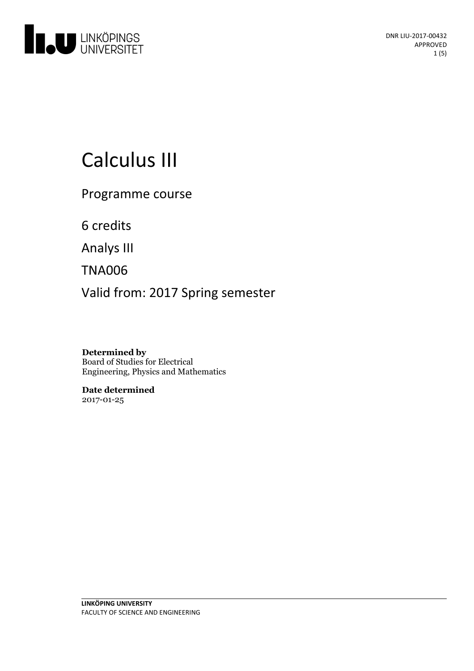

# Calculus III

Programme course

6 credits

Analys III

TNA006

Valid from: 2017 Spring semester

**Determined by** Board of Studies for Electrical Engineering, Physics and Mathematics

**Date determined** 2017-01-25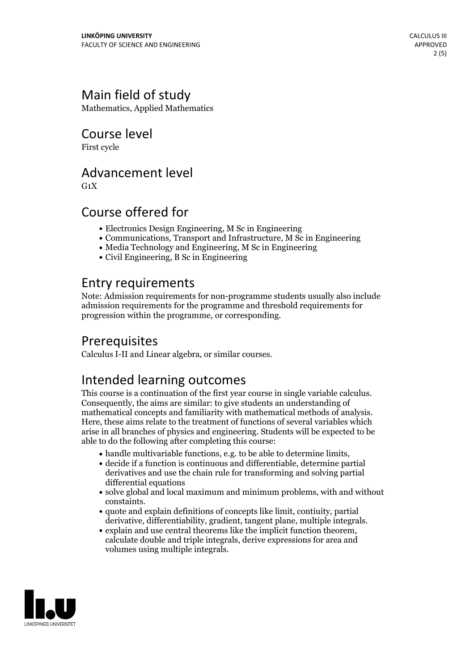# Main field of study

Mathematics, Applied Mathematics

Course level

First cycle

# Advancement level

 $G_1X$ 

# Course offered for

- Electronics Design Engineering, M Sc in Engineering
- Communications, Transport and Infrastructure, M Sc in Engineering
- Media Technology and Engineering, M Sc in Engineering
- Civil Engineering, B Sc in Engineering

# Entry requirements

Note: Admission requirements for non-programme students usually also include admission requirements for the programme and threshold requirements for progression within the programme, or corresponding.

# Prerequisites

Calculus I-II and Linear algebra, or similar courses.

# Intended learning outcomes

This course is <sup>a</sup> continuation of the first year course in single variable calculus. Consequently, the aims are similar: to give students an understanding of mathematical concepts and familiarity with mathematical methods of analysis. Here, these aims relate to the treatment of functions of several variables which arise in all branches of physics and engineering. Students will be expected to be able to do the following after completing this course:

- $\bullet$  handle multivariable functions, e.g. to be able to determine limits,  $\bullet$  decide if a function is continuous and differentiable, determine partial
- derivatives and use the chain rule for transforming and solving partial differential equations
- solve global and local maximum and minimum problems, with and without
- constaints.<br>• quote and explain definitions of concepts like limit, contiuity, partial<br>derivative. differentiability. gradient. tangent plane. multiple integrals.
- explain and use central theorems like the implicit function theorem, calculate double and triple integrals, derive expressions for area and volumes using multiple integrals.

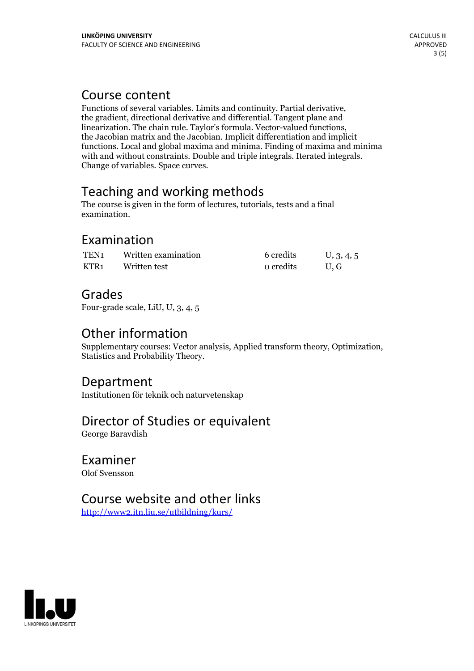Course content<br>Functions of several variables. Limits and continuity. Partial derivative, the gradient, directional derivative and differential. Tangent plane and linearization. The chain rule. Taylor's formula. Vector-valued functions, the Jacobian matrix and the Jacobian. Implicit differentiation and implicit functions. Local and global maxima and minima. Finding of maxima and minima with and without constraints. Double and triple integrals. Iterated integrals. Change ofvariables. Space curves.

# Teaching and working methods

The course is given in the form of lectures, tutorials, tests and a final examination.

# Examination

| TEN <sub>1</sub> | Written examination | 6 credits | U, 3, 4, 5 |
|------------------|---------------------|-----------|------------|
| KTR1             | Written test        | o credits | U.G        |

# Grades

Four-grade scale, LiU, U, 3, 4, 5

# Other information

Supplementary courses: Vector analysis, Applied transform theory, Optimization, Statistics and Probability Theory.

## Department

Institutionen för teknik och naturvetenskap

# Director of Studies or equivalent

George Baravdish

# Examiner

Olof Svensson

# Course website and other links

<http://www2.itn.liu.se/utbildning/kurs/>

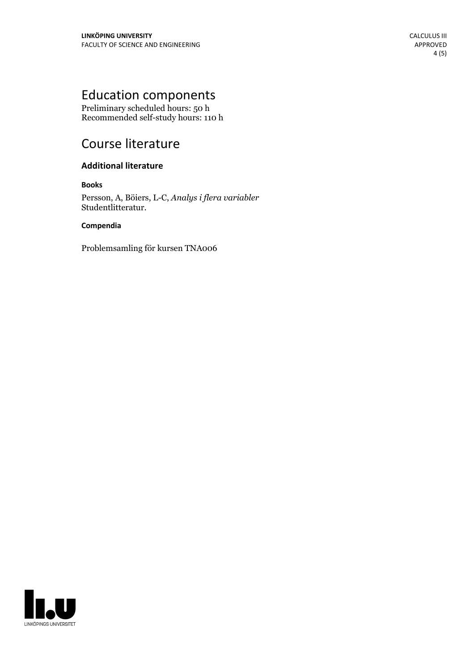# Education components

Preliminary scheduled hours: 50 h Recommended self-study hours: 110 h

# Course literature

### **Additional literature**

#### **Books**

Persson, A, Böiers, L-C, *Analys i flera variabler* Studentlitteratur.

#### **Compendia**

Problemsamling för kursen TNA006